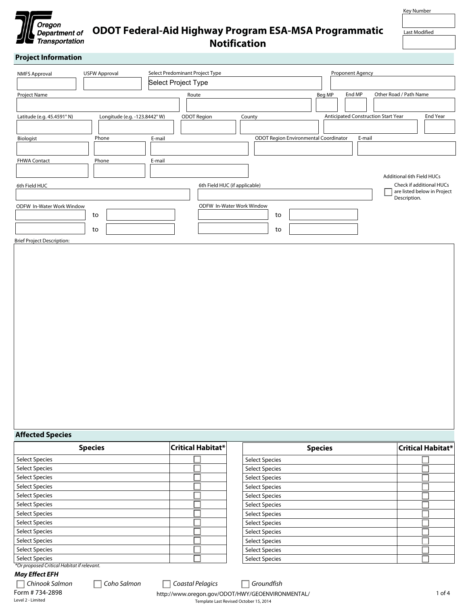

# **ODOT Federal-Aid Highway Program ESA-MSA Programmatic Notification**

Key Number

Last Modified

### **Project Information**

| <b>NMFS Approval</b>              | <b>USFW Approval</b>         | Select Predominant Project Type |                               |        |                                       |                      | Proponent Agency                    |                           |                             |
|-----------------------------------|------------------------------|---------------------------------|-------------------------------|--------|---------------------------------------|----------------------|-------------------------------------|---------------------------|-----------------------------|
| $\overline{\phantom{a}}$          | $\overline{\phantom{a}}$     | Select Project Type             |                               |        |                                       |                      |                                     |                           |                             |
| Project Name                      |                              |                                 | Route                         |        |                                       | Beg MP               | End MP                              | Other Road / Path Name    |                             |
|                                   |                              |                                 |                               |        | $\left  \rule{0.2cm}{0.2cm} \right $  |                      |                                     |                           |                             |
| Latitude (e.g. 45.4591° N)        | Longitude (e.g. -123.8442°W) |                                 | <b>ODOT Region</b>            | County |                                       |                      | Anticipated Construction Start Year |                           | End Year                    |
|                                   |                              |                                 | $\blacktriangledown$          |        |                                       | $\blacktriangledown$ |                                     |                           |                             |
| Biologist                         | Phone                        | E-mail                          |                               |        | ODOT Region Environmental Coordinator |                      | E-mail                              |                           |                             |
|                                   |                              |                                 |                               |        |                                       |                      |                                     |                           |                             |
| <b>FHWA Contact</b>               | Phone                        | E-mail                          |                               |        |                                       |                      |                                     |                           |                             |
|                                   |                              |                                 |                               |        |                                       |                      |                                     | Additional 6th Field HUCs |                             |
| 6th Field HUC                     |                              |                                 | 6th Field HUC (if applicable) |        |                                       |                      |                                     |                           | Check if additional HUCs    |
|                                   |                              | $\blacktriangledown$            |                               |        |                                       |                      | $\overline{\phantom{0}}$            | Description.              | are listed below in Project |
| <b>ODFW In-Water Work Window</b>  |                              |                                 | ODFW In-Water Work Window     |        |                                       |                      |                                     |                           |                             |
|                                   | to                           |                                 |                               |        | to                                    |                      |                                     |                           |                             |
|                                   | to                           |                                 |                               |        | to                                    |                      |                                     |                           |                             |
| <b>Brief Project Description:</b> |                              |                                 |                               |        |                                       |                      |                                     |                           |                             |

Brief Project Description:

#### **Affected Species**

|                                            | <b>Species</b> | <b>Critical Habitat*</b> | <b>Species</b>                                                                             | <b>Critical Habitat*</b> |
|--------------------------------------------|----------------|--------------------------|--------------------------------------------------------------------------------------------|--------------------------|
| <b>Select Species</b>                      |                |                          | <b>Select Species</b>                                                                      |                          |
| <b>Select Species</b>                      |                |                          | <b>Select Species</b>                                                                      |                          |
| <b>Select Species</b>                      |                |                          | <b>Select Species</b>                                                                      |                          |
| <b>Select Species</b>                      |                |                          | <b>Select Species</b>                                                                      |                          |
| <b>Select Species</b>                      |                |                          | <b>Select Species</b>                                                                      |                          |
| <b>Select Species</b>                      |                |                          | <b>Select Species</b>                                                                      |                          |
| <b>Select Species</b>                      |                |                          | <b>Select Species</b>                                                                      |                          |
| <b>Select Species</b>                      |                |                          | <b>Select Species</b>                                                                      |                          |
| <b>Select Species</b>                      |                |                          | <b>Select Species</b>                                                                      |                          |
| <b>Select Species</b>                      |                |                          | <b>Select Species</b>                                                                      |                          |
| <b>Select Species</b>                      |                |                          | <b>Select Species</b>                                                                      |                          |
| <b>Select Species</b>                      |                |                          | <b>Select Species</b>                                                                      |                          |
| *Or proposed Critical Habitat if relevant. |                |                          |                                                                                            |                          |
| <b>May Effect EFH</b>                      |                |                          |                                                                                            |                          |
| Chinook Salmon                             | Coho Salmon    | Coastal Pelagics         | Groundfish<br>$\Box$                                                                       |                          |
| Form # 734-2898<br>Level 2 - Limited       |                |                          | http://www.oregon.gov/ODOT/HWY/GEOENVIRONMENTAL/<br>Template Last Revised October 15, 2014 | 1 of 4                   |

Template Last Revised October 15, 2014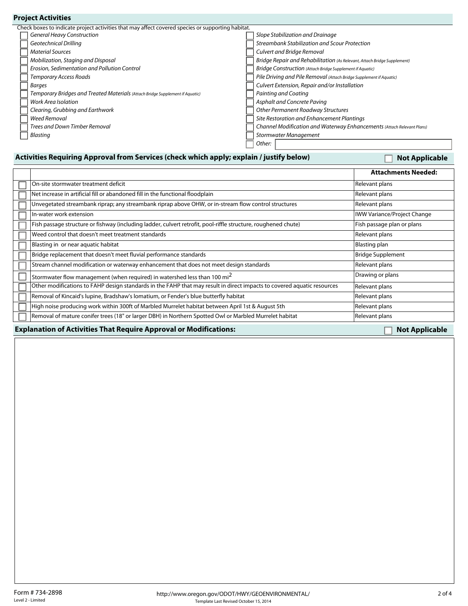| Check boxes to indicate project activities that may affect covered species or supporting habitat. |                                                                          |
|---------------------------------------------------------------------------------------------------|--------------------------------------------------------------------------|
| <b>General Heavy Construction</b>                                                                 | Slope Stabilization and Drainage                                         |
| <b>Geotechnical Drilling</b>                                                                      | Streambank Stabilization and Scour Protection                            |
| <b>Material Sources</b>                                                                           | Culvert and Bridge Removal                                               |
| Mobilization, Staging and Disposal                                                                | Bridge Repair and Rehabilitation (As Relevant, Attach Bridge Supplement) |
| Erosion, Sedimentation and Pollution Control                                                      | Bridge Construction (Attach Bridge Supplement if Aquatic)                |
| <b>Temporary Access Roads</b>                                                                     | Pile Driving and Pile Removal (Attach Bridge Supplement if Aquatic)      |
| Barges                                                                                            | Culvert Extension, Repair and/or Installation                            |
| Temporary Bridges and Treated Materials (Attach Bridge Supplement if Aquatic)                     | Painting and Coating                                                     |
| <b>Work Area Isolation</b>                                                                        | Asphalt and Concrete Paving                                              |
| Clearing, Grubbing and Earthwork                                                                  | Other Permanent Roadway Structures                                       |
| <b>Weed Removal</b>                                                                               | Site Restoration and Enhancement Plantings                               |
| <b>Trees and Down Timber Removal</b>                                                              | Channel Modification and Waterway Enhancements (Attach Relevant Plans)   |
| Blasting                                                                                          | Stormwater Management                                                    |
|                                                                                                   | Other:                                                                   |

#### Activities Requiring Approval from Services (check which apply; explain / justify below) **Not Applicable**

|                                                                                                                         | <b>Attachments Needed:</b>         |
|-------------------------------------------------------------------------------------------------------------------------|------------------------------------|
| On-site stormwater treatment deficit                                                                                    | Relevant plans                     |
| Net increase in artificial fill or abandoned fill in the functional floodplain                                          | Relevant plans                     |
| Unvegetated streambank riprap; any streambank riprap above OHW, or in-stream flow control structures                    | Relevant plans                     |
| In-water work extension                                                                                                 | <b>IWW Variance/Project Change</b> |
| Fish passage structure or fishway (including ladder, culvert retrofit, pool-riffle structure, roughened chute)          | Fish passage plan or plans         |
| Weed control that doesn't meet treatment standards                                                                      | Relevant plans                     |
| Blasting in or near aquatic habitat                                                                                     | Blasting plan                      |
| Bridge replacement that doesn't meet fluvial performance standards                                                      | <b>Bridge Supplement</b>           |
| Stream channel modification or waterway enhancement that does not meet design standards                                 | Relevant plans                     |
| Stormwater flow management (when required) in watershed less than 100 mi $^{\mathsf{2}}$                                | Drawing or plans                   |
| Other modifications to FAHP design standards in the FAHP that may result in direct impacts to covered aquatic resources | Relevant plans                     |
| Removal of Kincaid's lupine, Bradshaw's lomatium, or Fender's blue butterfly habitat                                    | Relevant plans                     |
| High noise producing work within 300ft of Marbled Murrelet habitat between April 1st & August 5th                       | Relevant plans                     |
| Removal of mature conifer trees (18" or larger DBH) in Northern Spotted Owl or Marbled Murrelet habitat                 | Relevant plans                     |
|                                                                                                                         |                                    |

**Explanation of Activities That Require Approval or Modifications:** Not Applicable

**Project Activities**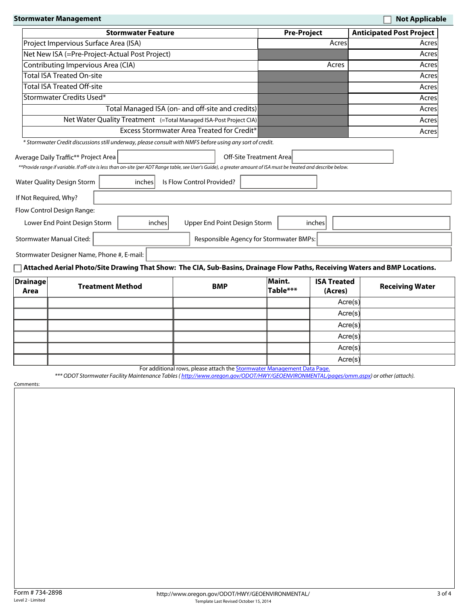|                                 | <b>Stormwater Management</b>                                                                                                                                                                               |                                                                         |                                   |                         |                          |                                | <b>Not Applicable</b>           |
|---------------------------------|------------------------------------------------------------------------------------------------------------------------------------------------------------------------------------------------------------|-------------------------------------------------------------------------|-----------------------------------|-------------------------|--------------------------|--------------------------------|---------------------------------|
|                                 | <b>Stormwater Feature</b>                                                                                                                                                                                  |                                                                         |                                   | <b>Pre-Project</b>      |                          |                                | <b>Anticipated Post Project</b> |
|                                 | Project Impervious Surface Area (ISA)                                                                                                                                                                      |                                                                         |                                   |                         | Acres                    | Acres                          |                                 |
|                                 | Net New ISA (=Pre-Project-Actual Post Project)                                                                                                                                                             |                                                                         |                                   |                         |                          | Acres                          |                                 |
|                                 | Contributing Impervious Area (CIA)                                                                                                                                                                         |                                                                         |                                   |                         | Acres                    | Acres                          |                                 |
|                                 | <b>Total ISA Treated On-site</b>                                                                                                                                                                           |                                                                         |                                   |                         |                          | Acres                          |                                 |
|                                 | <b>Total ISA Treated Off-site</b>                                                                                                                                                                          |                                                                         |                                   |                         |                          | Acres                          |                                 |
|                                 | Stormwater Credits Used*                                                                                                                                                                                   |                                                                         |                                   |                         |                          |                                | Acres                           |
|                                 | Total Managed ISA (on- and off-site and credits)                                                                                                                                                           |                                                                         |                                   |                         |                          |                                | Acres                           |
|                                 | Net Water Quality Treatment (=Total Managed ISA-Post Project CIA)                                                                                                                                          |                                                                         |                                   |                         |                          |                                | Acres                           |
|                                 |                                                                                                                                                                                                            | <b>Excess Stormwater Area Treated for Credit*</b>                       |                                   |                         |                          |                                | Acres                           |
|                                 | * Stormwater Credit discussions still underway, please consult with NMFS before using any sort of credit.                                                                                                  |                                                                         |                                   |                         |                          |                                |                                 |
|                                 | Average Daily Traffic** Project Area<br>**Provide range if variable. If off-site is less than on-site (per ADT Range table, see User's Guide), a greater amount of ISA must be treated and describe below. |                                                                         |                                   | Off-Site Treatment Area |                          |                                |                                 |
|                                 | <b>Water Quality Design Storm</b><br>inches                                                                                                                                                                | Is Flow Control Provided?                                               |                                   |                         |                          | $\left  \right. \cdot \right $ |                                 |
| If Not Required, Why?           |                                                                                                                                                                                                            |                                                                         |                                   |                         |                          |                                |                                 |
|                                 | Flow Control Design Range:                                                                                                                                                                                 |                                                                         |                                   |                         |                          |                                |                                 |
|                                 | Lower End Point Design Storm<br>inches                                                                                                                                                                     | Upper End Point Design Storm                                            |                                   |                         |                          | inches                         |                                 |
| <b>Stormwater Manual Cited:</b> |                                                                                                                                                                                                            | Responsible Agency for Stormwater BMPs:<br>$\vert \bm{\nabla} \vert$    |                                   |                         |                          |                                |                                 |
|                                 | Stormwater Designer Name, Phone #, E-mail:                                                                                                                                                                 |                                                                         |                                   |                         |                          |                                |                                 |
|                                 | $\Box$ Attached Aerial Photo/Site Drawing That Show: The CIA, Sub-Basins, Drainage Flow Paths, Receiving Waters and BMP Locations.                                                                         |                                                                         |                                   |                         |                          |                                |                                 |
| <b>Drainage</b>                 |                                                                                                                                                                                                            |                                                                         |                                   | Maint.                  |                          | <b>ISA Treated</b>             |                                 |
| Area                            | <b>Treatment Method</b>                                                                                                                                                                                    | <b>BMP</b>                                                              |                                   | Table***                |                          | (Acres)                        | <b>Receiving Water</b>          |
| $\blacktriangledown$            | $\blacktriangledown$                                                                                                                                                                                       |                                                                         | $\blacktriangledown$              |                         |                          | Acre(s)                        |                                 |
| $\blacktriangledown$            | $\blacktriangleleft$                                                                                                                                                                                       |                                                                         | $\left  \bullet \right $          |                         | $\overline{\phantom{0}}$ | Acre(s)                        |                                 |
| $\blacktriangledown$            | $\blacktriangledown$                                                                                                                                                                                       |                                                                         | $\left  \rule{0pt}{10pt} \right.$ |                         | $\overline{\phantom{0}}$ | Acre(s)                        |                                 |
| $\blacktriangledown$            | $\blacktriangledown$                                                                                                                                                                                       |                                                                         | $\blacktriangledown$              |                         | $\overline{\phantom{0}}$ | Acre(s)                        |                                 |
| $\blacktriangledown$            | $\overline{\phantom{a}}$                                                                                                                                                                                   |                                                                         | $\mathbf{r}$                      |                         |                          | Acre(s)                        |                                 |
| $\blacktriangledown$            | $\vert \mathbf{v} \vert$                                                                                                                                                                                   |                                                                         | $\mathbf{v}$                      |                         | $\blacktriangledown$     | Acre(s)                        |                                 |
|                                 | *** ODOT Stormwater Facility Maintenance Tables (http://www.oregon.gov/ODOT/HWY/GEOENVIRONMENTAL/pages/omm.aspx) or other (attach).                                                                        | For additional rows, please attach the Stormwater Management Data Page. |                                   |                         |                          |                                |                                 |
| Comments:                       |                                                                                                                                                                                                            |                                                                         |                                   |                         |                          |                                |                                 |
|                                 |                                                                                                                                                                                                            |                                                                         |                                   |                         |                          |                                |                                 |
|                                 |                                                                                                                                                                                                            |                                                                         |                                   |                         |                          |                                |                                 |
|                                 |                                                                                                                                                                                                            |                                                                         |                                   |                         |                          |                                |                                 |
|                                 |                                                                                                                                                                                                            |                                                                         |                                   |                         |                          |                                |                                 |
|                                 |                                                                                                                                                                                                            |                                                                         |                                   |                         |                          |                                |                                 |
|                                 |                                                                                                                                                                                                            |                                                                         |                                   |                         |                          |                                |                                 |
|                                 |                                                                                                                                                                                                            |                                                                         |                                   |                         |                          |                                |                                 |
|                                 |                                                                                                                                                                                                            |                                                                         |                                   |                         |                          |                                |                                 |
|                                 |                                                                                                                                                                                                            |                                                                         |                                   |                         |                          |                                |                                 |
|                                 |                                                                                                                                                                                                            |                                                                         |                                   |                         |                          |                                |                                 |
|                                 |                                                                                                                                                                                                            |                                                                         |                                   |                         |                          |                                |                                 |
|                                 |                                                                                                                                                                                                            |                                                                         |                                   |                         |                          |                                |                                 |
|                                 |                                                                                                                                                                                                            |                                                                         |                                   |                         |                          |                                |                                 |
|                                 |                                                                                                                                                                                                            |                                                                         |                                   |                         |                          |                                |                                 |